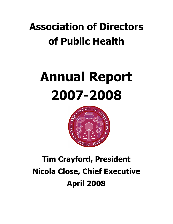# Association of Directors of Public Health

# Annual Report 2007-2008



# Tim Crayford, President Nicola Close, Chief Executive April 2008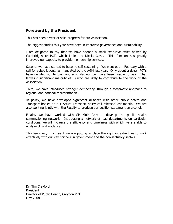# Foreword by the President

This has been a year of solid progress for our Association.

The biggest strides this year have been in improved governance and sustainability.

I am delighted to say that we have opened a small executive office hosted by Cambridgeshire PCT, which is led by Nicola Close. This function has greatly improved our capacity to provide membership services.

Second, we have started to become self-sustaining. We went out in February with a call for subscriptions, as mandated by the AGM last year. Only about a dozen PCTs have decided not to pay, and a similar number have been unable to pay. That leaves a significant majority of us who are likely to contribute to the work of the Association.

Third, we have introduced stronger democracy, through a systematic approach to regional and national representation.

In policy, we have developed significant alliances with other public health and Transport bodies on our Active Transport policy call released last month. We are also working jointly with the Faculty to produce our position statement on alcohol.

Finally, we have worked with Sir Muir Gray to develop the public health commissioning network. Introducing a network of lead departments on particular conditions, we will increase the efficiency and timeliness with which we are able to analyse clinical evidence.

This feels very much as if we are putting in place the right infrastructure to work effectively with our key partners in government and the non-statutory sectors.

Dr. Tim Crayford President Director of Public Health, Croydon PCT May 2008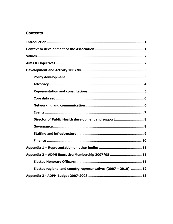# **Contents**

| Director of Public Health development and support 8            |
|----------------------------------------------------------------|
|                                                                |
|                                                                |
|                                                                |
|                                                                |
| Appendix 2 - ADPH Executive Membership 2007/08  11             |
|                                                                |
| Elected regional and country representatives (2007 - 2010): 12 |
|                                                                |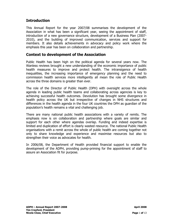# **Introduction**

This Annual Report for the year 2007/08 summarises the development of the Association in what has been a significant year, seeing the appointment of staff, introduction of a new governance structure, development of a Business Plan (2007- 2010), and the building of improved communication, services and support for members. It also details achievements in advocacy and policy work where the emphasis this year has been on collaboration and partnership.

# Context to development of the Association

Public Health has been high on the political agenda for several years now. The Wanless reviews brought a new understanding of the economic importance of public health measures to improve and protect health. The intransigence of health inequalities, the increasing importance of emergency planning and the need to commission health services more intelligently all mean the role of Public Health across the three domains is greater than ever.

The role of the Director of Public Health (DPH) with oversight across the whole agenda in leading public health teams and collaborating across agencies is key to achieving successful health outcomes. Devolution has brought some divergence in health policy across the UK but irrespective of changes in NHS structures and differences in the health agenda in the four UK countries the DPH as guardian of the population's health remains a vital and challenging job.

There are many national public health associations with a variety of remits. The emphasis now is on collaboration and partnership where goals are similar and support for each other where agendas overlap. Funding and indeed expertise is limited and duplication of effort is clearly wasted resource. The national Public Health organisations with a remit across the whole of public health are coming together not only to share knowledge and experience and maximise resources but also to strengthen their voice as advocates for health.

In 2006/08, the Department of Health provided financial support to enable the development of the ADPH, providing pump-priming for the appointment of staff to assure an Association fit for purpose.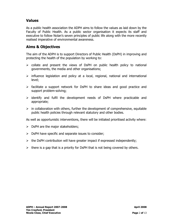# Values

As a public health association the ADPH aims to follow the values as laid down by the Faculty of Public Health. As a public sector organisation it expects its staff and executive to follow Nolan's seven principles of public life along with the more recently realised imperative of environmental awareness.

# Aims & Objectives

The aim of the ADPH is to support Directors of Public Health (DsPH) in improving and protecting the health of the population by working to:

- $\triangleright$  collate and present the views of DsPH on public health policy to national governments, the media and other organisations;
- $\triangleright$  influence legislation and policy at a local, regional, national and international level;
- $\triangleright$  facilitate a support network for DsPH to share ideas and good practice and support problem-solving;
- $\triangleright$  identify and fulfil the development needs of DsPH where practicable and appropriate;
- $\triangleright$  in collaboration with others, further the development of comprehensive, equitable public health policies through relevant statutory and other bodies.

As well as opportunistic interventions, there will be initiated prioritised activity where:

- $\triangleright$  DsPH are the major stakeholders;
- $\triangleright$  DsPH have specific and separate issues to consider;
- $\triangleright$  the DsPH contribution will have greater impact if expressed independently;
- $\triangleright$  there is a gap that is a priority for DsPH that is not being covered by others.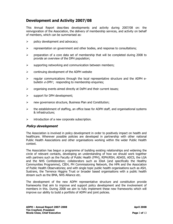# Development and Activity 2007/08

This Annual Report describes developments and activity during 2007/08 on: the reinvigoration of the Association, the delivery of membership services, and activity on behalf of members, which can be summarised as:

- $\triangleright$  policy development and advocacy;
- $\triangleright$  representation on government and other bodies, and response to consultations;
- $\triangleright$  preparation of a core data set of membership that will be completed during 2008 to provide an overview of the DPH population;
- $\triangleright$  supporting networking and communication between members;
- $\triangleright$  continuing development of the ADPH website
- $\triangleright$  regular communications through the local representative structure and the ADPH ebulletin *e-DPH* ; responding to membership enquiries;
- $\triangleright$  organising events aimed directly at DsPH and their current issues;
- $\triangleright$  support for DPH development;
- $\triangleright$  new governance structure, Business Plan and Constitution;
- $\triangleright$  the establishment of staffing, an office base for ADPH staff, and organisational systems & infrastructure;
- $\triangleright$  introduction of a new corporate subscription.

#### Policy development

The Association is involved in policy development in order to positively impact on health and healthcare. Wherever possible policies are developed in partnership with other national Public Health Associations and other organisations working within the wider Public Health context.

The Association has begun a programme of building existing relationships and widening the circle of relevant contacts, developing an understanding of how we should work together with partners such as the Faculty of Public Health (FPH), RIPH/RSH, ADASS, ADCS, the LGA and the NHS Confederation; collaborators such as IDeA (and specifically the Healthy Communities Programme), CIEH, PH Commissioning Network, the HPA and the Association of Public Health Observatories; and with single topic public health organisations such as ASH, Sustrans, the Terrence Higgins Trust or broader based organisations with a public health stream such as the BMA, NHS Alliance etc.

The development of the new ADPH representative structure and constitution provide frameworks that aim to improve and support policy development and the involvement of members in this. During 2008 we aim to fully implement these new frameworks which will improve our ability to build a portfolio of ADPH and joint policies.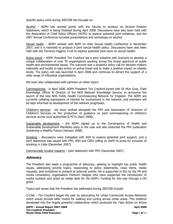Specific policy work during 2007/08 has focused on:

Alcohol – ADPH has worked jointly with the Faculty to produce an Alcohol Position Statement, which is being finalised during April 2008. Discussions have also been held with the Association of Chief Police Officers (ACPO) to explore potential joint initiatives; and the 2007 Annual Conference included presentations and workshops on alcohol.

Sexual health – ADPH worked with RIPH on their Sexual Health conference in November 2007, and it is intended to produce a joint sexual health policy. Discussions have also been held with the Terrence Higgins Trust to explore potential joint work on sexual health.

Active travel – ADPH President Tim Crayford led a joint initiative with Sustrans to develop a unique collaboration of over 70 organisations working across the broad spectrum of public health and environmental issues. The outcome was a powerful policy call for decision-makers nationally and locally to take action on active travel and to make a positive impact on obesity levels. The policy call was launched in April 2008 and continues to attract the support of a wide range of influential organisations.

We have also collaborated with partners on other topics:

Commissioning - in April 2008, ADPH President Tim Crayford joined with Sir Muir Gray, Chief Knowledge Officer & Director of the NHS National Knowledge Service, to announce the launch of the new NHS Public Health Commissioning Network for England. The ADPH are currently collating expressions of interest for involvement in the network, and members will be kept informed as development of the network progresses.

Children's services - we have worked alongside the FPH and Association of Directors of Children's Services on the production of guidance on joint commissioning of children's services across local authorities & PCTs (April 2008).

Sustainable development - the ADPH signed up to the Convergence of Health and Sustainable Development Manifesto early in the year and also endorsed the FPH publication Sustaining a Healthy Future (January 2008).

Smoking – discussions were instigated with ASH to explore potential joint support; and a joint statement was issued with FPH, ASH and CIEH calling on DsPH to press for inclusion of smoking in LAAs (December 2007).

Commercially funded research - joint statement with FPH (December 2007).

#### Advocacy

The President also leads a programme of advocacy, seeking to highlight key public health issues, addressing priority topics, responding to policy statements, news items, media requests, and invitations to present at external events. He is supported in this by the PR and media consultancy organisation Fishburn Hedges who have supported the introduction of media contacts and acted as media desk for the ADPH. Funding for this was through a DH grant.

Topics and issues that the President has addressed during 2007/08 include:

U-CAN – Tim Crayford began the year by advocating for Urban Community Access Networks which would provide safer routes for walking and cycling across urban areas. This initiative developed into the hugely powerful collaboration which produced the Take Action on Active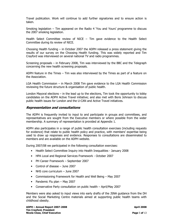Travel publication. Work will continue to add further signatories and to ensure action is taken.

Smoking legislation – Tim appeared on the Radio 4 'You and Yours' programme to discuss the 2007 smoking legislation.

Health Select Committee review of NICE – Tim gave evidence to the Health Select Committee during its review of NICE.

Choosing Health funding – in October 2007 the ADPH released a press statement giving the results of our survey on the Choosing Health funding. This was widely reported and Tim Crayford was interviewed on several national TV and radio programmes.

Screening proposals – in February 2008, Tim was interviewed by the BBC and the Telegraph concerning the new health screening proposals.

ADPH feature in the Times – Tim was also interviewed by the Times as part of a feature on the Association.

LGA Health Commission – in March 2008 Tim gave evidence to the LGA Health Commission reviewing the future structure & organisation of public health.

London Mayoral elections – in the lead up to the elections, Tim took the opportunity to lobby candidates on the ADPH Active Travel initiative; and also met with Boris Johnson to discuss public health issues for London and the U-CAN and Active Travel initiatives.

#### Representation and consultations

The ADPH is frequently invited to input to and participate in groups and committees, and representatives are sought from the Executive members or where possible from the wider membership. A summary of representation is provided at Appendix 1.

ADPH also participates in a range of public health consultation exercises (including requests for evidence) that relate to public health policy and practice, with members' expertise being used to draw up responses and evidence. Responses to consultations are disseminated to members and are available on the ADPH website.

During 2007/08 we participated in the following consultation exercises:

- Health Select Committee Inquiry into Health Inequalities January 2008
- HPA Local and Regional Services Framework October 2007
- PH Career Framework September 2007
- Control of disease June 2007
- NHS core curriculum June 2007
- Commissioning Framework for Health and Well Being May 2007
- Pandemic Flu plan May 2007
- Conservative Party consultation on public health April/May 2007

Members were also asked to input views into early drafts of the JSNA guidance from the DH and the Social Marketing Centre materials aimed at supporting public health teams with childhood obesity.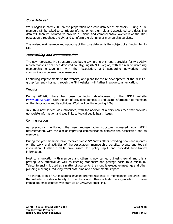#### Core data set

Work began in early 2008 on the preparation of a core data set of members. During 2008, members will be asked to contribute information on their role and associated core data. The data will then be collated to provide a unique and comprehensive overview of the DPH population throughout the UK, and to inform the planning of membership services.

The review, maintenance and updating of this core data set is the subject of a funding bid to DH.

#### Networking and communication

The new representative structure described elsewhere in this report provides for two ADPH representatives from each devolved country/English NHS Region, with the aim of increasing membership engagement with the Association, and supporting networking and communication between local members.

Continuing improvements to the website, and plans for the re-development of the ADPH egroup (currently hosted through the FPH website) will further improve communication.

#### Website

During 2007/08 there has been continuing development of the ADPH website (www.adph.org.uk), with the aim of providing immediate and useful information to members on the Association and its activities. Work will continue during 2008.

In 2007 a new service was introduced, with the addition of a daily news-feed that provides up-to-date information and web links to topical public health issues.

#### **Communication**

As previously mentioned, the new representative structure increased local ADPH representation, with the aim of improving communication between the Association and its members.

During the year members have received five  $e$ -DPH newsletters providing news and updates on the work and activities of the Association, membership benefits, events and topical information. Further e-mails have asked for policy input and provided time-limited information.

Most communication with members and others is now carried out using e-mail and this is proving very effective as well as keeping stationery and postage costs to a minimum. Teleconferencing is used as a matter of course for the monthly executive meetings and other planning meetings, reducing travel cost, time and environmental impact.

The introduction of ADPH staffing enables prompt response to membership enquiries; and the website provides a facility for members and others outside the organisation to make immediate email contact with staff via an *enquiries* email link.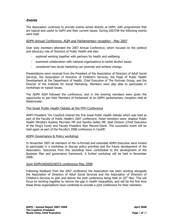### Events

The Association continues to provide events aimed directly at DsPH, with programmes that are topical and useful to DsPH and their current issues. During 2007/08 the following events were held.

#### ADPH Annual Conference, AGM and Parliamentary reception - May 2007

Over sixty members attended the 2007 Annual Conference, which focused on the political and advocacy role of Directors of Public Health and also:

- explored working together with partners for health and wellbeing
- examined collaboration with national organisations to tackle alcohol issues
- considered how social marketing can promote and achieve change.

Presentations were received from the President of the Association of Directors of Adult Social Services, the Association of Directors of Children's Services, the Head of Public Health Development at the Department of Health, Chief Executive of The Portman Group, and the Director of the Institute for Social Marketing. Members were also able to participate in workshops on topical issues.

The ADPH AGM followed the conference, and in the evening members were given the opportunity to join their Members of Parliament at an ADPH parliamentary reception held at Westminster.

#### The Great Public Health Debate at the FPH Conference

ADPH President Tim Crayford chaired the first Great Public Health Debate which was held as part of the Faculty of Public Health's 2007 conference. Panel members were: shadow Public Health Ministers Andrew Murrison MP and Sandra Gidley MP, Niall Dickson (Chief Executive of the King's Fund) and Faculty President Alan Maryon-Davis. This successful event will be held again as part of the Faculty's 2008 conference in Cardiff.

#### ADPH Governance & Policy workshop

In November 2007 all members of the re-formed and extended ADPH Executive were invited to participate in a workshop to discuss policy priorities and the future development of the Association. Outcomes from this workshop have contributed to the development of the Business Plan and governance framework. A further workshop will be held in November 2008.

#### Joint ADPH/ADASS/ADCS conference May 2008

Following feedback from the 2007 conference the Association has been working alongside the Association of Directors of Adult Social Services and the Association of Directors of Children's Services to plan and deliver the joint conference being held on  $20<sup>th</sup>$  May. This will focus on working together to narrow the gap in health inequalities, and will be the first time these three organisations have combined to provide a joint conference for their members.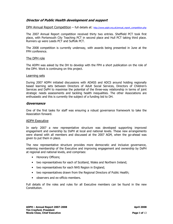#### Director of Public Health development and support

DPH Annual Report Competition – full details at: http://www.adph.org.uk/annual\_report\_competition.php

The 2007 Annual Report competition received thirty two entries. Sheffield PCT took first place, with Portsmouth City Teaching PCT in second place and Hull PCT taking third place. Runners up were Leeds PCT and Suffolk PCT.

The 2008 competition is currently underway, with awards being presented in June at the FPH conference.

#### The DPH role

The ADPH was asked by the DH to develop with the FPH a short publication on the role of the DPH. Work is continuing on this project.

#### Learning sets

During 2007 ADPH initiated discussions with ADASS and ADCS around holding regionally based learning sets between Directors of Adult Social Services, Directors of Children's Services and DsPH to maximise the potential of the three-way relationship in terms of joint strategic needs assessments and tackling health inequalities. The other Associations are enthusiastic and this is currently the subject of a funding bid to DH.

#### Governance

One of the first tasks for staff was ensuring a robust governance framework to take the Association forward.

#### ADPH Executive

In early 2007 a new representative structure was developed supporting improved engagement and ownership by DsPH at local and national levels. These new arrangements were shared with all members and discussed at the 2007 AGM, when the go-ahead was given to put them in place.

The new representative structure provides more democratic and inclusive governance, widening membership of the Executive and improving engagement and ownership by DsPH at regional and national levels, and comprises:

- Honorary Officers;
- two representatives for each of Scotland, Wales and Northern Ireland;
- two representatives for each NHS Region in England;
- two representatives drawn from the Regional Directors of Public Health;
- observers and ex-officio members.

Full details of the roles and rules for all Executive members can be found in the new Constitution.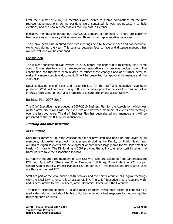Over the summer of 2007, full members were invited to submit nominations for the new representative positions. As no positions were contested, it was not necessary to hold elections, and the new representatives took up post in October.

Executive membership throughout 2007/2008 appears at Appendix 2. There are currently two vacancies at Honorary Officer level and three further representative vacancies.

There have been nine minuted executive meetings held by teleconference and two executive workshops during the year. This balance between face to face and distance meetings has worked well and will be continued.

#### **Constitution**

The current constitution was written in 2005 before the opportunity to employ staff came about. It was also before the new more representative structure was decided upon. The constitution has therefore been revised to reflect these changes and add further detail to make it a more complete document. It will be presented for approval by members at the 2008 AGM.

Detailed descriptions of roles and responsibilities for the staff and Executive have been produced. Work will continue during 2008 on the development of policies (such as conflict of interest; representation etc) and protocols to ensure probity and accountability.

#### Business Plan 2007-2010

The Chief Executive has produced a 2007-2010 Business Plan for the Association, which was written after discussions with the executive and between members at events and meetings over the last two years. The draft Business Plan has been shared with members and will be presented to the 2008 AGM for ratification.

#### Staffing and infrastructure

#### ADPH staffing

Until the summer of 2007 the Association did not have staff and relied on time given by its members, plus external project management (including the Faculty of Public Health and ALPHA) to organise events and development opportunities largely paid for by Department of Health (DH) grants. The DH funding in 2007 provided the ability to employ staff to set up the framework to take the Association forward.

Currently there are three members of staff (2.1 wte) who are seconded from Cambridgeshire PCT until April 2009. These are: Chief Executive (full time); Project Manager (22 hrs per week); Administrator & Project Manager (20 hrs per week). HR policies and procedures used are those of the host PCT.

Staff are part of the local public health network and the Chief Executive has regular meetings with the local DPH to ensure local accountability. The Chief Executive meets regularly with, and is accountable to, the President, other Honorary Officers and the Executive.

The use of Fishburn Hedges (a PR and media relations consultancy based in London) as a media desk during periods of high activity has enabled a fast response to media enquiries following press releases.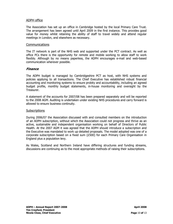#### ADPH office

The Association has set up an office in Cambridge hosted by the local Primary Care Trust. The arrangement has been agreed until April 2009 in the first instance. This provides good value for money whilst retaining the ability of staff to travel widely and attend regular meetings in London, and elsewhere as necessary.

#### Communications

The IT network is part of the NHS web and supported under the PCT contract. As well as office PCs there is the opportunity for remote and mobile working to allow staff to work flexibly. Although by no means paperless, the ADPH encourages e-mail and web-based communication wherever possible.

#### Finance

The ADPH budget is managed by Cambridgeshire PCT as host, with NHS systems and policies applying to all transactions. The Chief Executive has established robust financial accounting and monitoring systems to ensure probity and accountability, including an agreed budget profile, monthly budget statements, in-house monitoring and oversight by the Treasurer.

A statement of the accounts for 2007/08 has been prepared separately and will be reported to the 2008 AGM. Auditing is undertaken under existing NHS procedures and carry forward is allowed to ensure business continuity.

#### **Subscriptions**

During 2006/07 the Association discussed with and consulted members on the introduction of an ADPH subscription, without which the Association could not progress and thrive as an active, sustainable and independent organisation working on behalf of Directors of Public Health. At the 2007 AGM it was agreed that the ADPH should introduce a subscription and the Executive was mandated to work up detailed proposals. The model adopted was one of a corporate subscription based on a fixed sum (£500) for each Primary Care Organisation in England plus a population levy.

As Wales, Scotland and Northern Ireland have differing structures and funding streams, discussions are continuing as to the most appropriate methods of raising their subscriptions.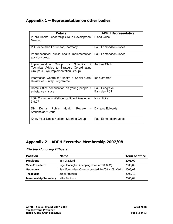# Appendix 1 – Representation on other bodies

| <b>Details</b>                                                                                                                                | <b>ADPH Representative</b>            |  |
|-----------------------------------------------------------------------------------------------------------------------------------------------|---------------------------------------|--|
| Public Health Leadership Group Development<br>Meeting                                                                                         | Diana Grice                           |  |
| PH Leadership Forum for Pharmacy                                                                                                              | Paul Edmondson-Jones                  |  |
| Pharmaceutical public health implementation<br>advisory group                                                                                 | Paul Edmondson-Jones                  |  |
| &<br><b>Scientific</b><br>Group<br>for<br>Implementation<br>Technical Advice to Strategic Co-ordinating<br>Groups (STAC Implementation Group) | <b>Andrew Clark</b>                   |  |
| Information Centre for Health & Social Care:<br>Review of Survey Programme                                                                    | lan Cameron                           |  |
| Home Office consultation on young people &<br>substance misuse                                                                                | Paul Redgrave,<br><b>Barnsley PCT</b> |  |
| LGA Community Well-being Board Away-day:<br>3.9.07                                                                                            | Nick Hicks                            |  |
| Health<br>DH.<br>Public<br>Review<br>Dental<br>Stakeholder Group                                                                              | Dympna Edwards                        |  |
| Know Your Limits National Steering Group                                                                                                      | Paul Edmondson-Jones                  |  |

# Appendix 2 – ADPH Executive Membership 2007/08

#### Elected Honorary Officers:

| <b>Position</b>             | <b>Name</b>                                        | <b>Term of office</b> |
|-----------------------------|----------------------------------------------------|-----------------------|
| <b>President</b>            | Tim Crayford                                       | 2006/09               |
| <b>Vice-President</b>       | Nigel Monaghan (stepping down at '08 AGM)          | 2006/09               |
| <b>Secretary</b>            | Paul Edmondson-Jones (co-opted Jan '08 - '08 AGM ) | 2006/09               |
| <b>Treasurer</b>            | Janet Atherton                                     | 2007/10               |
| <b>Membership Secretary</b> | Mike Robinson                                      | 2006/09               |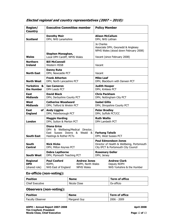| <b>Region/</b><br><b>Country</b>               | <b>Executive Committee member</b>                                                                                |                                                               | <b>Policy Member</b>                                                                                             |  |  |
|------------------------------------------------|------------------------------------------------------------------------------------------------------------------|---------------------------------------------------------------|------------------------------------------------------------------------------------------------------------------|--|--|
| <b>Scotland</b>                                | <b>Dorothy Moir</b><br>DPH, NHS Lanarkshire                                                                      |                                                               | <b>Alison McCallum</b><br>DPH, NHS Lothian                                                                       |  |  |
|                                                | Stephen Monaghan,                                                                                                |                                                               | Jo Charles<br>Associate DPH, Gwynedd & Anglesey<br>NPHS Wales (stood down February 2008)                         |  |  |
| <b>Wales</b>                                   | Local DPH Cardiff, NPHS Wales                                                                                    |                                                               | Vacant (since February 2008)                                                                                     |  |  |
| <b>Northern</b><br><b>Ireland</b>              | <b>Bill McConnell</b><br><b>Western HSSB</b>                                                                     |                                                               | Vacant                                                                                                           |  |  |
| <b>North East</b>                              | Danny Ruta<br>DPH, Newcastle PCT                                                                                 |                                                               | Vacant                                                                                                           |  |  |
| <b>North West</b>                              | <b>Frank Atherton</b><br>DPH, North Lancashire PCT                                                               |                                                               | <b>Mike Leaf</b><br>DPH, Blackburn with Darwen PCT                                                               |  |  |
| Yorkshire &<br>the Humber                      | <b>Ian Cameron</b><br><b>DPH Leeds PCT</b>                                                                       |                                                               | Judith Hooper<br>DPH, Kirklees PCT                                                                               |  |  |
| East<br><b>Midlands</b>                        | <b>David Black</b><br>DPH, Derbyshire County PCT                                                                 |                                                               | <b>Chris Packham</b><br>DPH, Nottingham City PCT                                                                 |  |  |
| West<br><b>Midlands</b>                        | <b>Catherine Woodward</b><br>DPH, Telford & Wrekin PCT                                                           |                                                               | <b>Isabel Gillis</b><br>DPH, Shropshire County PCT                                                               |  |  |
| of l<br>East<br><b>England</b>                 | <b>Andy Liggins</b><br>DPH, Peterborough PCT                                                                     |                                                               | <b>Peter Bradley</b><br>DPH, Suffolk PCT/CC                                                                      |  |  |
| <b>London</b>                                  | <b>Maggie Harding</b><br>DPH, Sutton & Merton PCT                                                                |                                                               | <b>Ruth Wallis</b><br>DPH Lambeth PCT                                                                            |  |  |
| <b>South East</b>                              | <b>Diana Grice</b><br>DPH & Wellbeing/Medical Director,<br>East Sussex Downs & Weald &<br>Hastings & Rother PCTs |                                                               | <b>Farhang Tahzib</b><br>DPH, West Sussex PCT                                                                    |  |  |
| South<br><b>Central</b>                        | <b>Nick Hicks</b><br>DPH, Milton Keynes PCT                                                                      |                                                               | <b>Paul Edmondson-Jones</b><br>Director of Health & Wellbeing, Portsmouth<br>City tPCT & Portsmouth City Council |  |  |
| <b>South West</b>                              | <b>Debra Lapthorne</b><br>DPH, Plymouth Teaching PCT                                                             |                                                               | <b>Rosemary Geller</b><br>DPH, Jersey                                                                            |  |  |
| <b>Regional</b><br><b>DPH</b><br>(shared role) | <b>Paul Cosford</b><br>RDPH,<br>NHS East of England                                                              | <b>Andrew Jones</b><br>RDPH, North Wales<br><b>NPHS Wales</b> | <b>Andrew Clark</b><br>Deputy RDPH<br>NHS Yorkshire & the Humber                                                 |  |  |

## Elected regional and country representatives (2007 – 2010):

# Ex-officio (non-voting):

| <b>Position</b> | <b>Name</b>  | Term of office |
|-----------------|--------------|----------------|
| Chief Executive | Nicola Close | Ex-officio     |

## Observers (non-voting):

| <b>Position</b>         | <b>Name</b>  | Term of office |
|-------------------------|--------------|----------------|
| <b>Faculty Observer</b> | Margaret Guy | $2006 - 2009$  |